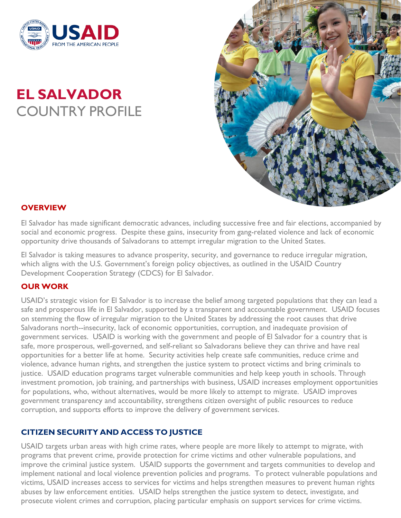

# **EL SALVADOR** COUNTRY PROFILE



### **OVERVIEW**

El Salvador has made significant democratic advances, including successive free and fair elections, accompanied by social and economic progress. Despite these gains, insecurity from gang-related violence and lack of economic opportunity drive thousands of Salvadorans to attempt irregular migration to the United States.

El Salvador is taking measures to advance prosperity, security, and governance to reduce irregular migration, which aligns with the U.S. Government's foreign policy objectives, as outlined in the USAID Country Development Cooperation Strategy (CDCS) for El Salvador.

#### **OUR WORK**

USAID's strategic vision for El Salvador is to increase the belief among targeted populations that they can lead a safe and prosperous life in El Salvador, supported by a transparent and accountable government. USAID focuses on stemming the flow of irregular migration to the United States by addressing the root causes that drive Salvadorans north--insecurity, lack of economic opportunities, corruption, and inadequate provision of government services. USAID is working with the government and people of El Salvador for a country that is safe, more prosperous, well-governed, and self-reliant so Salvadorans believe they can thrive and have real opportunities for a better life at home. Security activities help create safe communities, reduce crime and violence, advance human rights, and strengthen the justice system to protect victims and bring criminals to justice. USAID education programs target vulnerable communities and help keep youth in schools. Through investment promotion, job training, and partnerships with business, USAID increases employment opportunities for populations, who, without alternatives, would be more likely to attempt to migrate. USAID improves government transparency and accountability, strengthens citizen oversight of public resources to reduce corruption, and supports efforts to improve the delivery of government services.

## **CITIZEN SECURITY AND ACCESS TO JUSTICE**

USAID targets urban areas with high crime rates, where people are more likely to attempt to migrate, with programs that prevent crime, provide protection for crime victims and other vulnerable populations, and improve the criminal justice system. USAID supports the government and targets communities to develop and implement national and local violence prevention policies and programs. To protect vulnerable populations and victims, USAID increases access to services for victims and helps strengthen measures to prevent human rights abuses by law enforcement entities. USAID helps strengthen the justice system to detect, investigate, and prosecute violent crimes and corruption, placing particular emphasis on support services for crime victims.